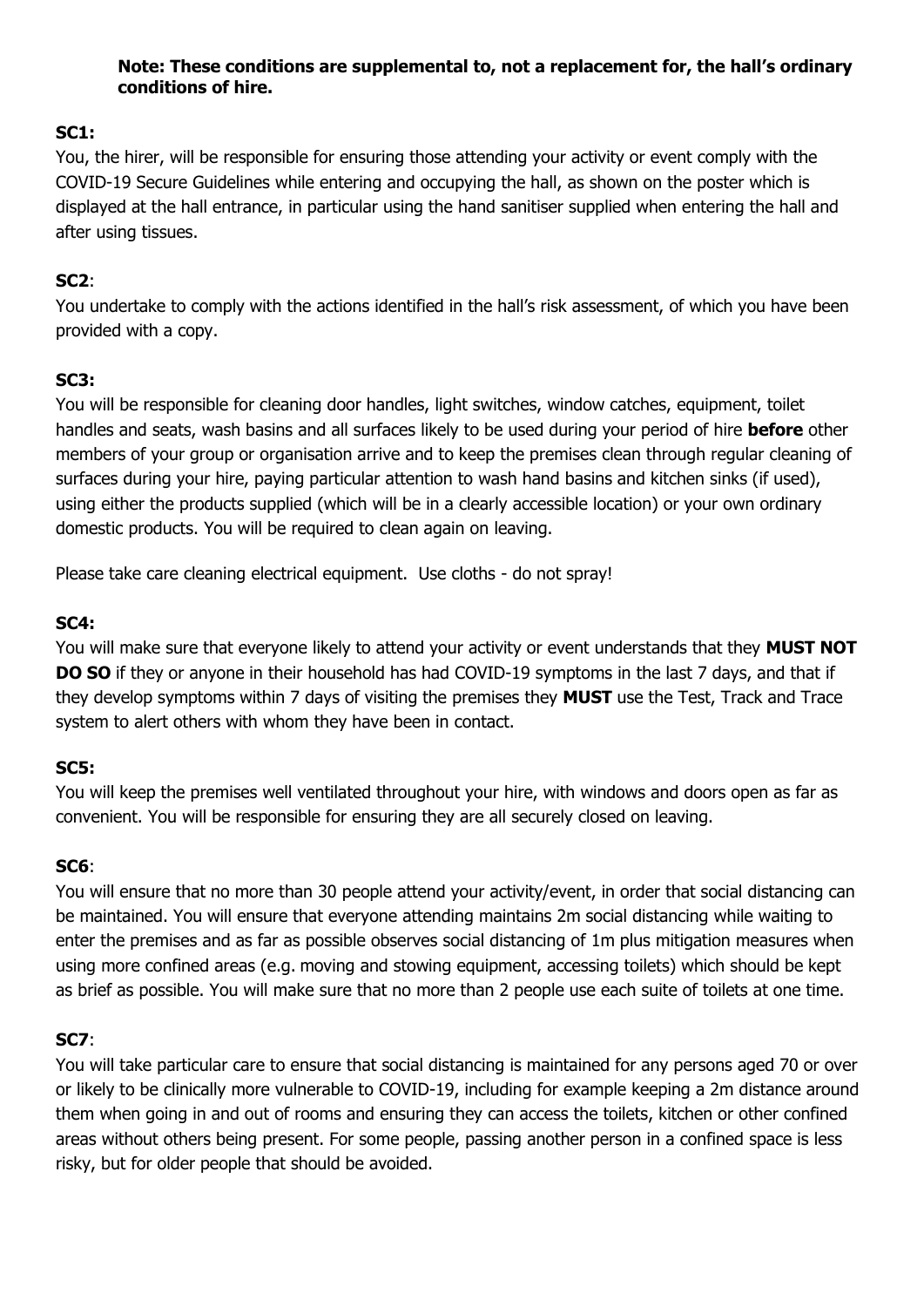### **Note: These conditions are supplemental to, not a replacement for, the hall's ordinary conditions of hire.**

# **SC1:**

You, the hirer, will be responsible for ensuring those attending your activity or event comply with the COVID-19 Secure Guidelines while entering and occupying the hall, as shown on the poster which is displayed at the hall entrance, in particular using the hand sanitiser supplied when entering the hall and after using tissues.

## **SC2**:

You undertake to comply with the actions identified in the hall's risk assessment, of which you have been provided with a copy.

### **SC3:**

You will be responsible for cleaning door handles, light switches, window catches, equipment, toilet handles and seats, wash basins and all surfaces likely to be used during your period of hire **before** other members of your group or organisation arrive and to keep the premises clean through regular cleaning of surfaces during your hire, paying particular attention to wash hand basins and kitchen sinks (if used), using either the products supplied (which will be in a clearly accessible location) or your own ordinary domestic products. You will be required to clean again on leaving.

Please take care cleaning electrical equipment. Use cloths - do not spray!

# **SC4:**

You will make sure that everyone likely to attend your activity or event understands that they **MUST NOT DO SO** if they or anyone in their household has had COVID-19 symptoms in the last 7 days, and that if they develop symptoms within 7 days of visiting the premises they **MUST** use the Test, Track and Trace system to alert others with whom they have been in contact.

### **SC5:**

You will keep the premises well ventilated throughout your hire, with windows and doors open as far as convenient. You will be responsible for ensuring they are all securely closed on leaving.

### **SC6**:

You will ensure that no more than 30 people attend your activity/event, in order that social distancing can be maintained. You will ensure that everyone attending maintains 2m social distancing while waiting to enter the premises and as far as possible observes social distancing of 1m plus mitigation measures when using more confined areas (e.g. moving and stowing equipment, accessing toilets) which should be kept as brief as possible. You will make sure that no more than 2 people use each suite of toilets at one time.

### **SC7**:

You will take particular care to ensure that social distancing is maintained for any persons aged 70 or over or likely to be clinically more vulnerable to COVID-19, including for example keeping a 2m distance around them when going in and out of rooms and ensuring they can access the toilets, kitchen or other confined areas without others being present. For some people, passing another person in a confined space is less risky, but for older people that should be avoided.